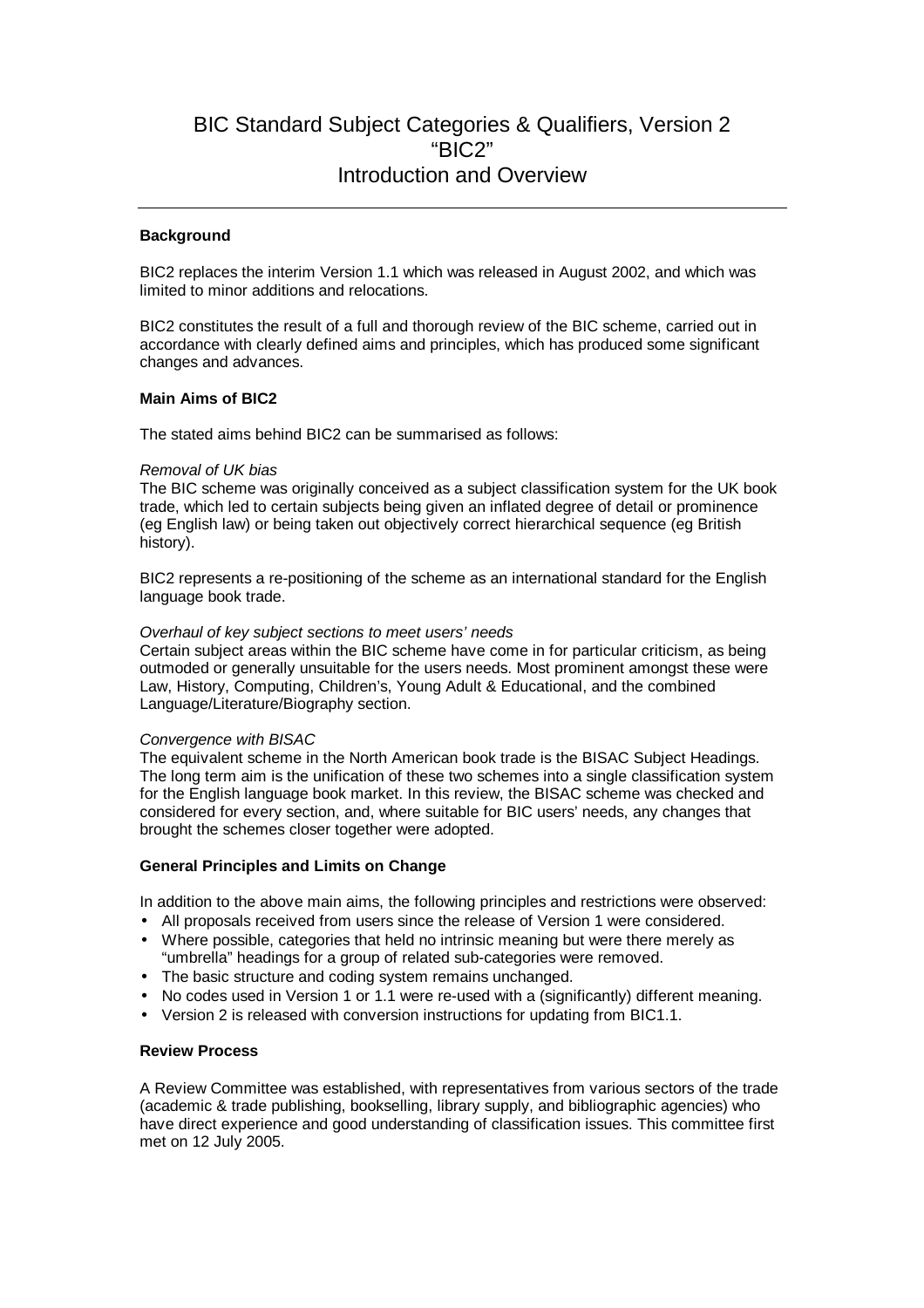# BIC Standard Subject Categories & Qualifiers, Version 2 "BIC2" Introduction and Overview

#### **Background**

BIC2 replaces the interim Version 1.1 which was released in August 2002, and which was limited to minor additions and relocations.

BIC2 constitutes the result of a full and thorough review of the BIC scheme, carried out in accordance with clearly defined aims and principles, which has produced some significant changes and advances.

#### **Main Aims of BIC2**

The stated aims behind BIC2 can be summarised as follows:

#### Removal of UK bias

The BIC scheme was originally conceived as a subject classification system for the UK book trade, which led to certain subjects being given an inflated degree of detail or prominence (eg English law) or being taken out objectively correct hierarchical sequence (eg British history).

BIC2 represents a re-positioning of the scheme as an international standard for the English language book trade.

## Overhaul of key subject sections to meet users' needs

Certain subject areas within the BIC scheme have come in for particular criticism, as being outmoded or generally unsuitable for the users needs. Most prominent amongst these were Law, History, Computing, Children's, Young Adult & Educational, and the combined Language/Literature/Biography section.

#### Convergence with BISAC

The equivalent scheme in the North American book trade is the BISAC Subject Headings. The long term aim is the unification of these two schemes into a single classification system for the English language book market. In this review, the BISAC scheme was checked and considered for every section, and, where suitable for BIC users' needs, any changes that brought the schemes closer together were adopted.

# **General Principles and Limits on Change**

In addition to the above main aims, the following principles and restrictions were observed:

- All proposals received from users since the release of Version 1 were considered.
- Where possible, categories that held no intrinsic meaning but were there merely as "umbrella" headings for a group of related sub-categories were removed.
- The basic structure and coding system remains unchanged.
- No codes used in Version 1 or 1.1 were re-used with a (significantly) different meaning.
- Version 2 is released with conversion instructions for updating from BIC1.1.

#### **Review Process**

A Review Committee was established, with representatives from various sectors of the trade (academic & trade publishing, bookselling, library supply, and bibliographic agencies) who have direct experience and good understanding of classification issues. This committee first met on 12 July 2005.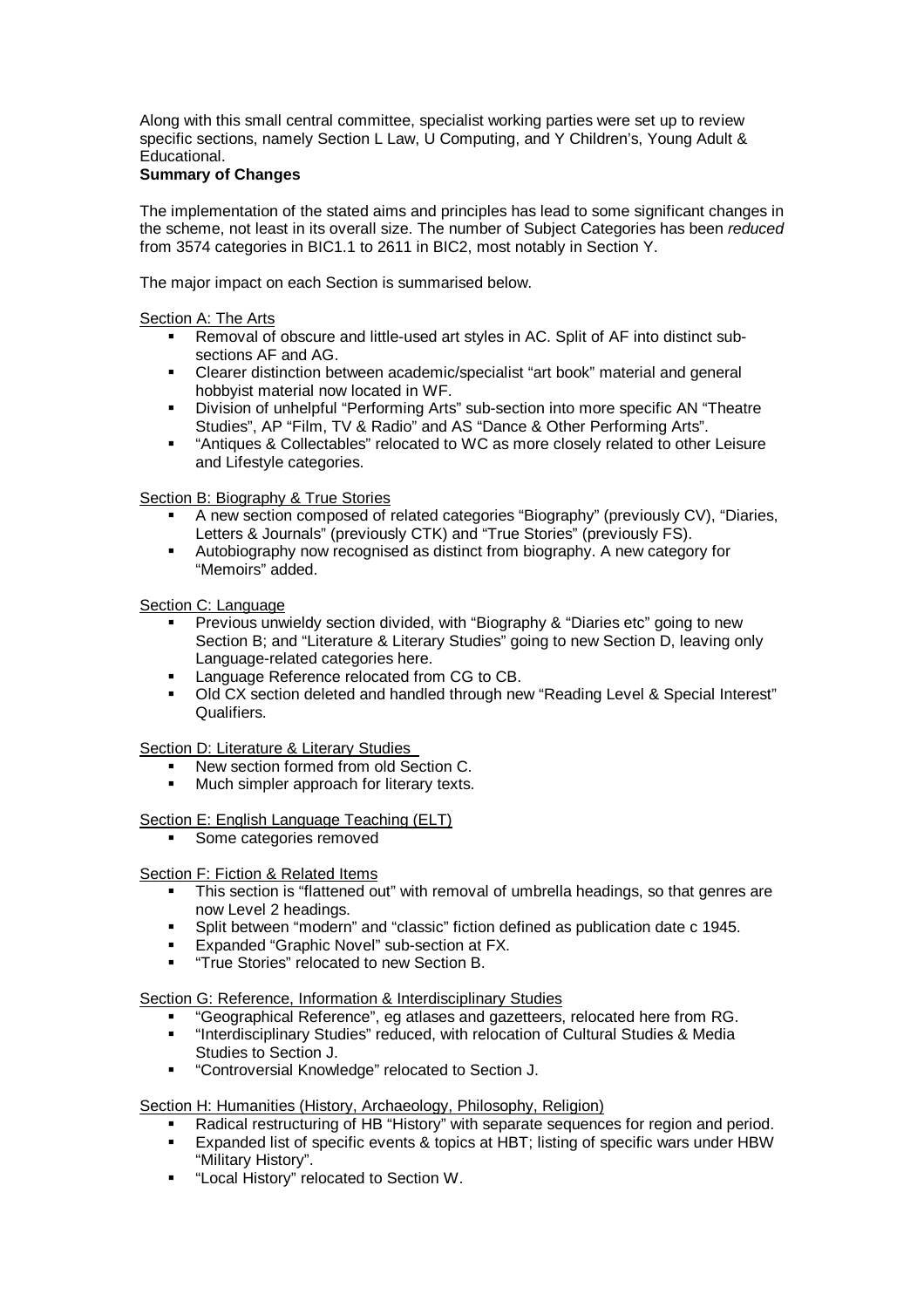Along with this small central committee, specialist working parties were set up to review specific sections, namely Section L Law, U Computing, and Y Children's, Young Adult & Educational.

# **Summary of Changes**

The implementation of the stated aims and principles has lead to some significant changes in the scheme, not least in its overall size. The number of Subject Categories has been reduced from 3574 categories in BIC1.1 to 2611 in BIC2, most notably in Section Y.

The major impact on each Section is summarised below.

#### Section A: The Arts

- Removal of obscure and little-used art styles in AC. Split of AF into distinct subsections AF and AG.
- Clearer distinction between academic/specialist "art book" material and general hobbyist material now located in WF.
- Division of unhelpful "Performing Arts" sub-section into more specific AN "Theatre Studies", AP "Film, TV & Radio" and AS "Dance & Other Performing Arts".
- "Antiques & Collectables" relocated to WC as more closely related to other Leisure and Lifestyle categories.

## Section B: Biography & True Stories

- A new section composed of related categories "Biography" (previously CV), "Diaries, Letters & Journals" (previously CTK) and "True Stories" (previously FS).
- Autobiography now recognised as distinct from biography. A new category for "Memoirs" added.

#### Section C: Language

- Previous unwieldy section divided, with "Biography & "Diaries etc" going to new Section B; and "Literature & Literary Studies" going to new Section D, leaving only Language-related categories here.
- Language Reference relocated from CG to CB.
- Old CX section deleted and handled through new "Reading Level & Special Interest" Qualifiers.

Section D: Literature & Literary Studies

- New section formed from old Section C.
- Much simpler approach for literary texts.

# Section E: English Language Teaching (ELT)

■ Some categories removed

#### Section F: Fiction & Related Items

- This section is "flattened out" with removal of umbrella headings, so that genres are now Level 2 headings.
- Split between "modern" and "classic" fiction defined as publication date c 1945.
- Expanded "Graphic Novel" sub-section at FX.
- "True Stories" relocated to new Section B.

#### Section G: Reference, Information & Interdisciplinary Studies

- "Geographical Reference", eg atlases and gazetteers, relocated here from RG.
- "Interdisciplinary Studies" reduced, with relocation of Cultural Studies & Media Studies to Section J.
- "Controversial Knowledge" relocated to Section J.

#### Section H: Humanities (History, Archaeology, Philosophy, Religion)

- Radical restructuring of HB "History" with separate sequences for region and period.
- Expanded list of specific events & topics at HBT; listing of specific wars under HBW "Military History".
- "Local History" relocated to Section W.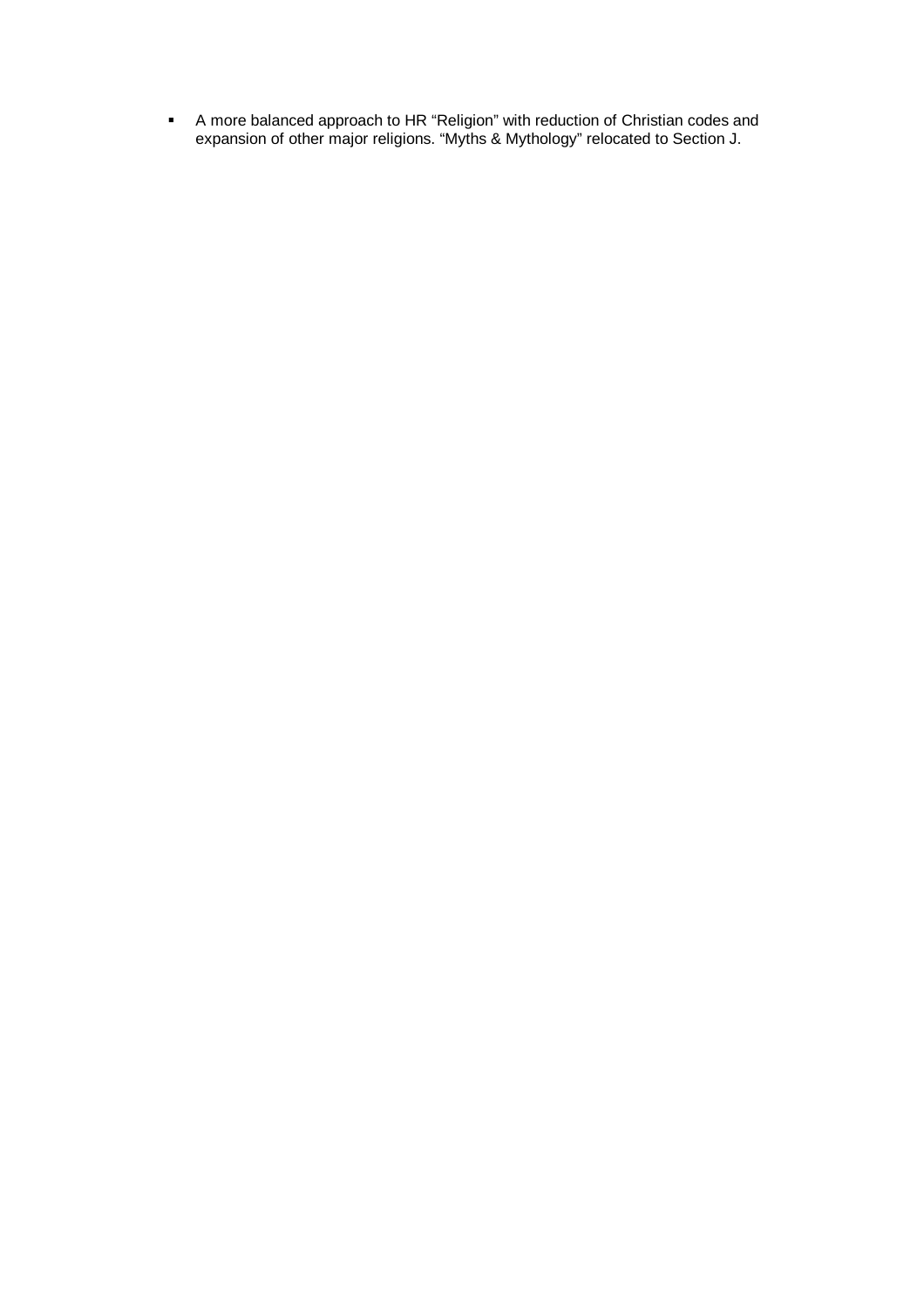A more balanced approach to HR "Religion" with reduction of Christian codes and expansion of other major religions. "Myths & Mythology" relocated to Section J.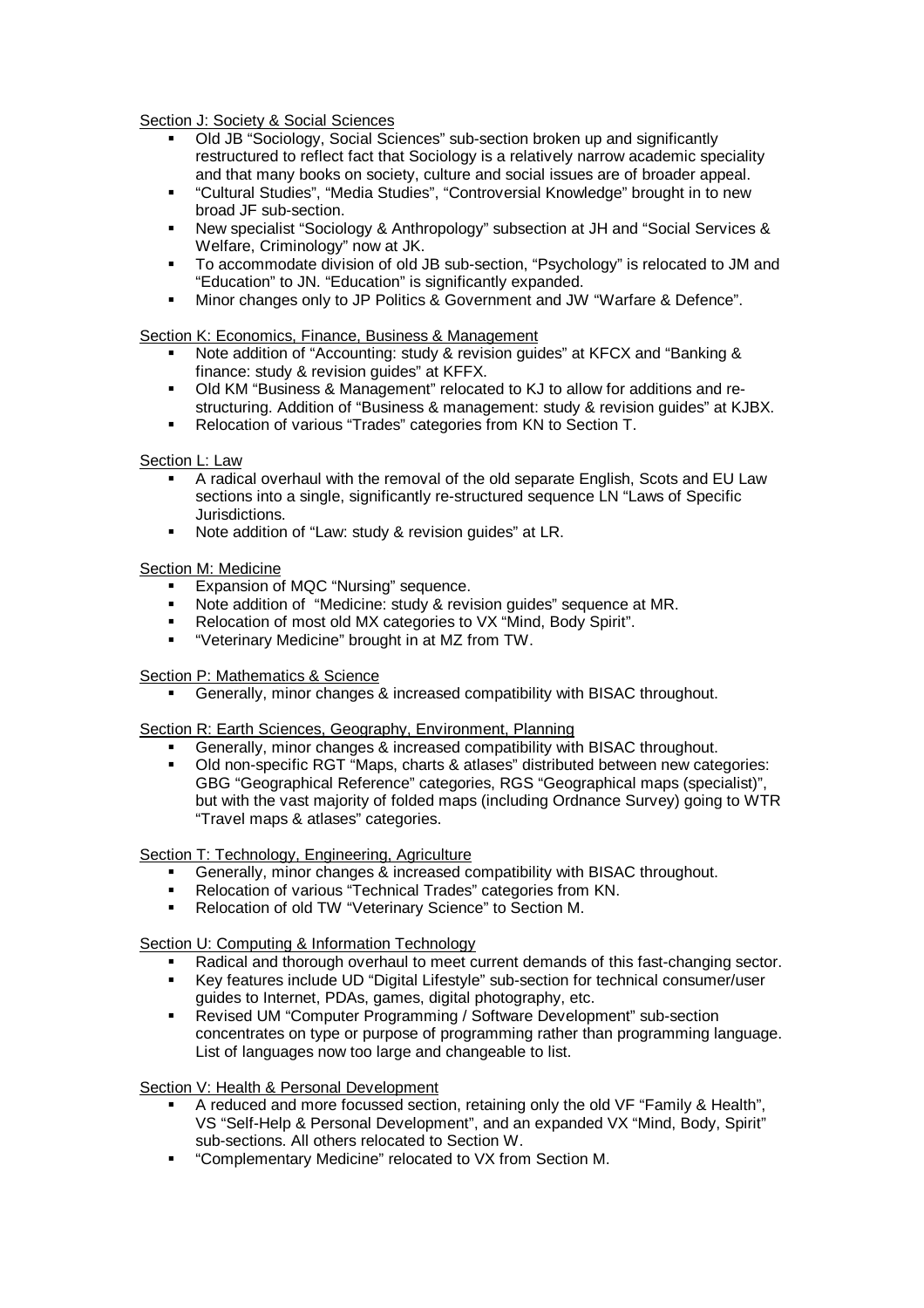Section J: Society & Social Sciences

- Old JB "Sociology, Social Sciences" sub-section broken up and significantly restructured to reflect fact that Sociology is a relatively narrow academic speciality and that many books on society, culture and social issues are of broader appeal.
- "Cultural Studies", "Media Studies", "Controversial Knowledge" brought in to new broad JF sub-section.
- New specialist "Sociology & Anthropology" subsection at JH and "Social Services & Welfare, Criminology" now at JK.
- To accommodate division of old JB sub-section, "Psychology" is relocated to JM and "Education" to JN. "Education" is significantly expanded.
- Minor changes only to JP Politics & Government and JW "Warfare & Defence".

## Section K: Economics, Finance, Business & Management

- Note addition of "Accounting: study & revision guides" at KFCX and "Banking & finance: study & revision guides" at KFFX.
- Old KM "Business & Management" relocated to KJ to allow for additions and restructuring. Addition of "Business & management: study & revision guides" at KJBX.
- Relocation of various "Trades" categories from KN to Section T.

## Section L: Law

- A radical overhaul with the removal of the old separate English, Scots and EU Law sections into a single, significantly re-structured sequence LN "Laws of Specific Jurisdictions.
- Note addition of "Law: study & revision guides" at LR.

## Section M: Medicine

- Expansion of MQC "Nursing" sequence.
- Note addition of "Medicine: study & revision guides" sequence at MR.
- Relocation of most old MX categories to VX "Mind, Body Spirit".
- "Veterinary Medicine" brought in at MZ from TW.

# Section P: Mathematics & Science

Generally, minor changes & increased compatibility with BISAC throughout.

#### Section R: Earth Sciences, Geography, Environment, Planning

- Generally, minor changes & increased compatibility with BISAC throughout.
- Old non-specific RGT "Maps, charts & atlases" distributed between new categories: GBG "Geographical Reference" categories, RGS "Geographical maps (specialist)", but with the vast majority of folded maps (including Ordnance Survey) going to WTR "Travel maps & atlases" categories.

Section T: Technology, Engineering, Agriculture

- Generally, minor changes & increased compatibility with BISAC throughout.
- Relocation of various "Technical Trades" categories from KN.
- Relocation of old TW "Veterinary Science" to Section M.

# Section U: Computing & Information Technology

- Radical and thorough overhaul to meet current demands of this fast-changing sector.
- Key features include UD "Digital Lifestyle" sub-section for technical consumer/user guides to Internet, PDAs, games, digital photography, etc.
- Revised UM "Computer Programming / Software Development" sub-section concentrates on type or purpose of programming rather than programming language. List of languages now too large and changeable to list.

#### Section V: Health & Personal Development

- A reduced and more focussed section, retaining only the old VF "Family & Health", VS "Self-Help & Personal Development", and an expanded VX "Mind, Body, Spirit" sub-sections. All others relocated to Section W.
- "Complementary Medicine" relocated to VX from Section M.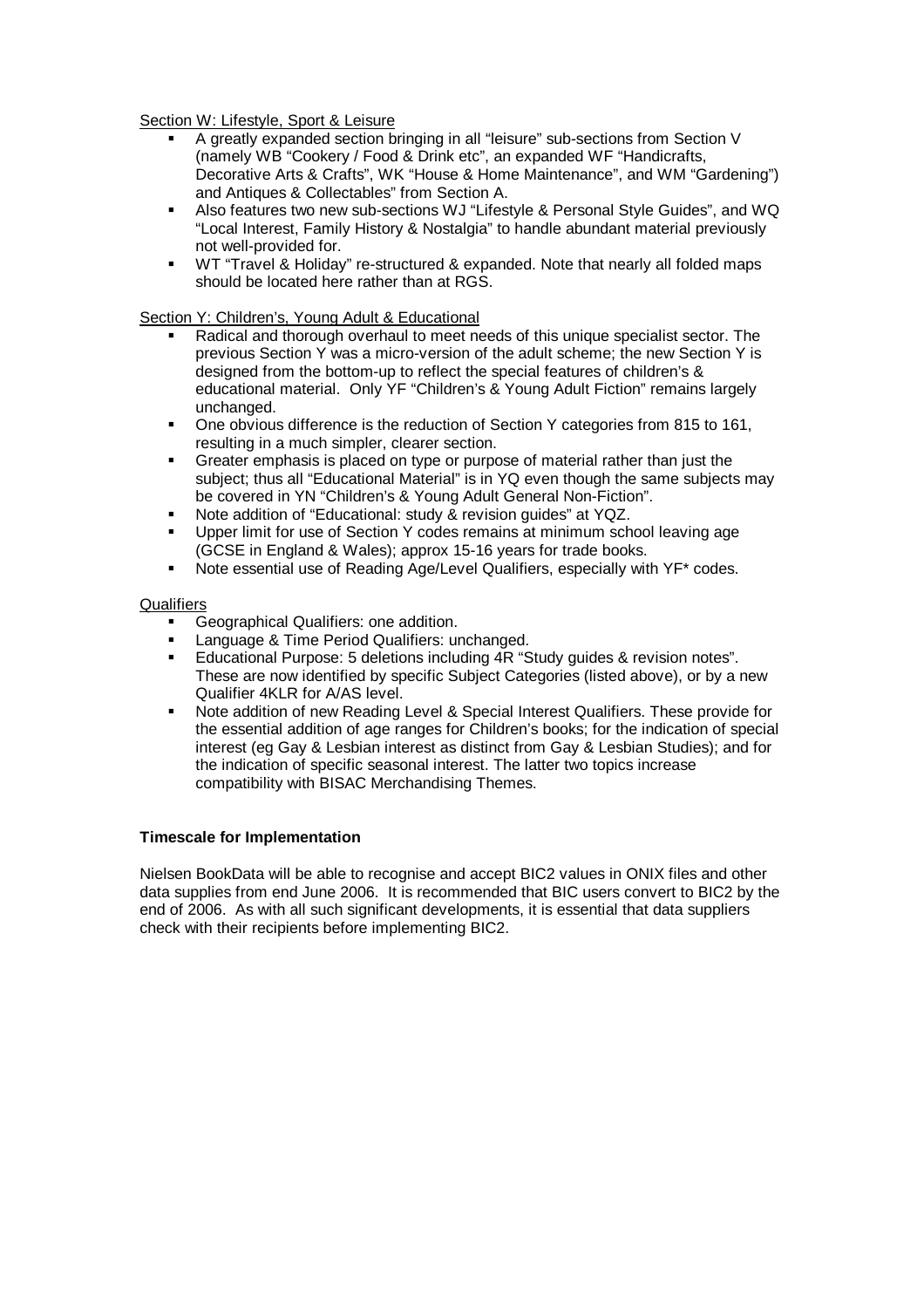Section W: Lifestyle, Sport & Leisure

- A greatly expanded section bringing in all "leisure" sub-sections from Section V (namely WB "Cookery / Food & Drink etc", an expanded WF "Handicrafts, Decorative Arts & Crafts", WK "House & Home Maintenance", and WM "Gardening") and Antiques & Collectables" from Section A.
- Also features two new sub-sections WJ "Lifestyle & Personal Style Guides", and WQ "Local Interest, Family History & Nostalgia" to handle abundant material previously not well-provided for.
- WT "Travel & Holiday" re-structured & expanded. Note that nearly all folded maps should be located here rather than at RGS.

Section Y: Children's, Young Adult & Educational

- Radical and thorough overhaul to meet needs of this unique specialist sector. The previous Section Y was a micro-version of the adult scheme; the new Section Y is designed from the bottom-up to reflect the special features of children's & educational material. Only YF "Children's & Young Adult Fiction" remains largely unchanged.
- One obvious difference is the reduction of Section Y categories from 815 to 161, resulting in a much simpler, clearer section.
- Greater emphasis is placed on type or purpose of material rather than just the subject; thus all "Educational Material" is in YQ even though the same subjects may be covered in YN "Children's & Young Adult General Non-Fiction".
- Note addition of "Educational: study & revision guides" at YQZ.
- Upper limit for use of Section Y codes remains at minimum school leaving age (GCSE in England & Wales); approx 15-16 years for trade books.
- Note essential use of Reading Age/Level Qualifiers, especially with YF\* codes.

## **Qualifiers**

- Geographical Qualifiers: one addition.
- Language & Time Period Qualifiers: unchanged.
- Educational Purpose: 5 deletions including 4R "Study guides & revision notes". These are now identified by specific Subject Categories (listed above), or by a new Qualifier 4KLR for A/AS level.
- Note addition of new Reading Level & Special Interest Qualifiers. These provide for the essential addition of age ranges for Children's books; for the indication of special interest (eg Gay & Lesbian interest as distinct from Gay & Lesbian Studies); and for the indication of specific seasonal interest. The latter two topics increase compatibility with BISAC Merchandising Themes.

# **Timescale for Implementation**

Nielsen BookData will be able to recognise and accept BIC2 values in ONIX files and other data supplies from end June 2006. It is recommended that BIC users convert to BIC2 by the end of 2006. As with all such significant developments, it is essential that data suppliers check with their recipients before implementing BIC2.